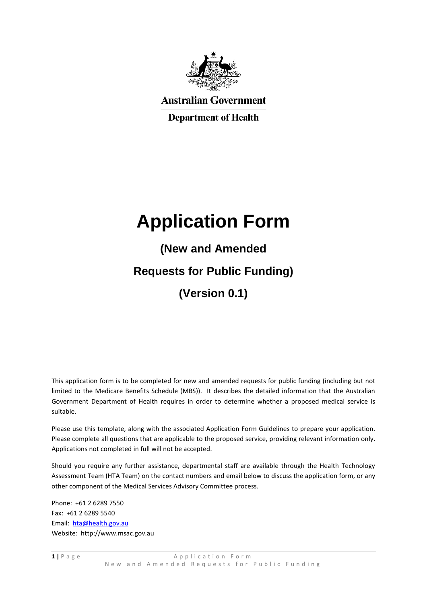

**Australian Government** 

**Department of Health** 

# **Application Form**

**(New and Amended Requests for Public Funding) (Version 0.1)**

This application form is to be completed for new and amended requests for public funding (including but not limited to the Medicare Benefits Schedule (MBS)). It describes the detailed information that the Australian Government Department of Health requires in order to determine whether a proposed medical service is suitable.

Please use this template, along with the associated Application Form Guidelines to prepare your application. Please complete all questions that are applicable to the proposed service, providing relevant information only. Applications not completed in full will not be accepted.

Should you require any further assistance, departmental staff are available through the Health Technology Assessment Team (HTA Team) on the contact numbers and email below to discuss the application form, or any other component of the Medical Services Advisory Committee process.

Phone: +61 2 6289 7550 Fax: +61 2 6289 5540 Email: [hta@health.gov.au](mailto:hta@health.gov.au) Website: http://www.msac.gov.au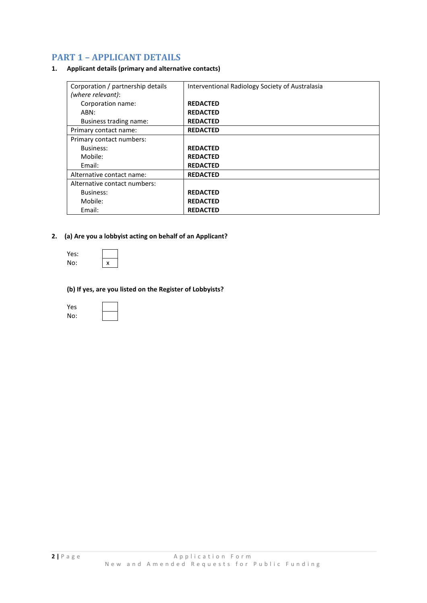# **PART 1 – APPLICANT DETAILS**

## **1. Applicant details (primary and alternative contacts)**

| Corporation / partnership details<br>(where relevant): | Interventional Radiology Society of Australasia |
|--------------------------------------------------------|-------------------------------------------------|
| Corporation name:                                      | <b>REDACTED</b>                                 |
| ABN:                                                   | <b>REDACTED</b>                                 |
| Business trading name:                                 | <b>REDACTED</b>                                 |
| Primary contact name:                                  | <b>REDACTED</b>                                 |
| Primary contact numbers:                               |                                                 |
| Business:                                              | <b>REDACTED</b>                                 |
| Mobile:                                                | <b>REDACTED</b>                                 |
| Email:                                                 | <b>REDACTED</b>                                 |
| Alternative contact name:                              | <b>REDACTED</b>                                 |
| Alternative contact numbers:                           |                                                 |
| Business:                                              | <b>REDACTED</b>                                 |
| Mobile:                                                | <b>REDACTED</b>                                 |
| Email:                                                 | <b>REDACTED</b>                                 |

# **2. (a) Are you a lobbyist acting on behalf of an Applicant?**

| Yes: |   |
|------|---|
| No:  | x |

## **(b) If yes, are you listed on the Register of Lobbyists?**

| Yes |  |
|-----|--|
| No: |  |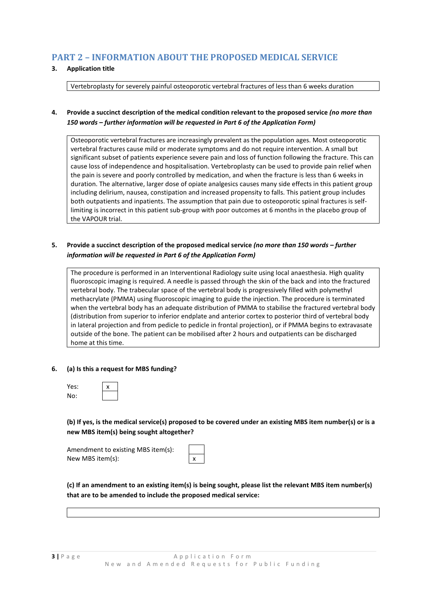# **PART 2 – INFORMATION ABOUT THE PROPOSED MEDICAL SERVICE**

# **3. Application title**

Vertebroplasty for severely painful osteoporotic vertebral fractures of less than 6 weeks duration

# **4. Provide a succinct description of the medical condition relevant to the proposed service** *(no more than 150 words – further information will be requested in Part 6 of the Application Form)*

Osteoporotic vertebral fractures are increasingly prevalent as the population ages. Most osteoporotic vertebral fractures cause mild or moderate symptoms and do not require intervention. A small but significant subset of patients experience severe pain and loss of function following the fracture. This can cause loss of independence and hospitalisation. Vertebroplasty can be used to provide pain relief when the pain is severe and poorly controlled by medication, and when the fracture is less than 6 weeks in duration. The alternative, larger dose of opiate analgesics causes many side effects in this patient group including delirium, nausea, constipation and increased propensity to falls. This patient group includes both outpatients and inpatients. The assumption that pain due to osteoporotic spinal fractures is selflimiting is incorrect in this patient sub-group with poor outcomes at 6 months in the placebo group of the VAPOUR trial.

# **5. Provide a succinct description of the proposed medical service** *(no more than 150 words – further information will be requested in Part 6 of the Application Form)*

The procedure is performed in an Interventional Radiology suite using local anaesthesia. High quality fluoroscopic imaging is required. A needle is passed through the skin of the back and into the fractured vertebral body. The trabecular space of the vertebral body is progressively filled with polymethyl methacrylate (PMMA) using fluoroscopic imaging to guide the injection. The procedure is terminated when the vertebral body has an adequate distribution of PMMA to stabilise the fractured vertebral body (distribution from superior to inferior endplate and anterior cortex to posterior third of vertebral body in lateral projection and from pedicle to pedicle in frontal projection), or if PMMA begins to extravasate outside of the bone. The patient can be mobilised after 2 hours and outpatients can be discharged home at this time.

## **6. (a) Is this a request for MBS funding?**

| Yes: | x |
|------|---|
| No:  |   |

**(b) If yes, is the medical service(s) proposed to be covered under an existing MBS item number(s) or is a new MBS item(s) being sought altogether?**

| Amendment to existing MBS item(s): |   |
|------------------------------------|---|
| New MBS item(s):                   | x |

**(c) If an amendment to an existing item(s) is being sought, please list the relevant MBS item number(s) that are to be amended to include the proposed medical service:**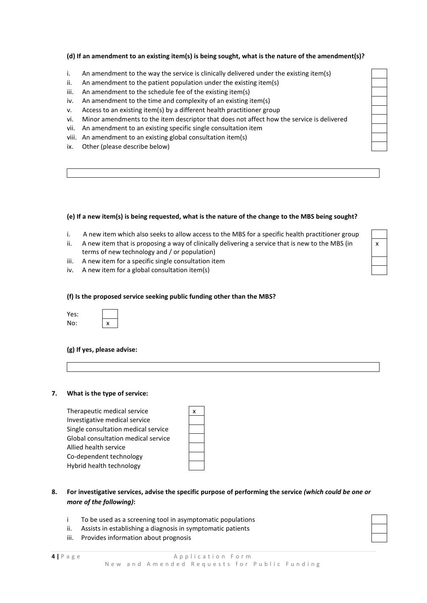# **(d) If an amendment to an existing item(s) is being sought, what is the nature of the amendment(s)?**

- i. An amendment to the way the service is clinically delivered under the existing item(s)
- ii. An amendment to the patient population under the existing item(s)
- iii. An amendment to the schedule fee of the existing item(s)
- iv. An amendment to the time and complexity of an existing item(s)
- v. Access to an existing item(s) by a different health practitioner group
- vi. Minor amendments to the item descriptor that does not affect how the service is delivered
- vii. An amendment to an existing specific single consultation item
- viii. An amendment to an existing global consultation item(s)
- ix. Other (please describe below)

#### **(e) If a new item(s) is being requested, what is the nature of the change to the MBS being sought?**

- i. A new item which also seeks to allow access to the MBS for a specific health practitioner group
- ii. A new item that is proposing a way of clinically delivering a service that is new to the MBS (in terms of new technology and / or population)
- iii. A new item for a specific single consultation item
- iv. A new item for a global consultation item(s)

## **(f) Is the proposed service seeking public funding other than the MBS?**

| Yes: |   |
|------|---|
| No:  | x |

#### **(g) If yes, please advise:**

## **7. What is the type of service:**

Therapeutic medical service x Investigative medical service Single consultation medical service Global consultation medical service Allied health service Co-dependent technology Hybrid health technology

| X |  |
|---|--|
|   |  |
|   |  |
|   |  |
|   |  |
|   |  |
|   |  |

# **8. For investigative services, advise the specific purpose of performing the service** *(which could be one or more of the following)***:**

- i To be used as a screening tool in asymptomatic populations
- ii. Assists in establishing a diagnosis in symptomatic patients
- iii. Provides information about prognosis

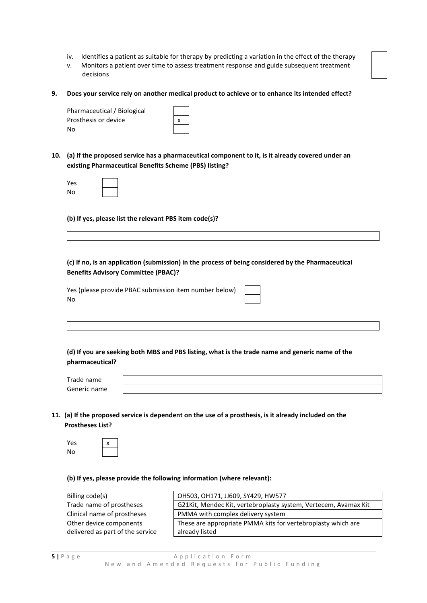- iv. Identifies a patient as suitable for therapy by predicting a variation in the effect of the therapy
- v. Monitors a patient over time to assess treatment response and guide subsequent treatment decisions
- **9. Does your service rely on another medical product to achieve or to enhance its intended effect?**

| Pharmaceutical / Biological |   |
|-----------------------------|---|
| Prosthesis or device        | X |
| No                          |   |

**10. (a) If the proposed service has a pharmaceutical component to it, is it already covered under an existing Pharmaceutical Benefits Scheme (PBS) listing?**

| Yes |  |
|-----|--|
| No  |  |

**(b) If yes, please list the relevant PBS item code(s)?**

**(c) If no, is an application (submission) in the process of being considered by the Pharmaceutical Benefits Advisory Committee (PBAC)?**

Yes (please provide PBAC submission item number below) No

**(d) If you are seeking both MBS and PBS listing, what is the trade name and generic name of the pharmaceutical?**

| Trade.<br>name  |  |
|-----------------|--|
| Generic<br>name |  |

**11. (a) If the proposed service is dependent on the use of a prosthesis, is it already included on the Prostheses List?**

| Yes | x |
|-----|---|
| No  |   |

**(b) If yes, please provide the following information (where relevant):** 

Billing code(s) Trade name of prostheses Clinical name of prostheses Other device components delivered as part of the service

| OH503, OH171, JJ609, SY429, HW577                               |
|-----------------------------------------------------------------|
| G21Kit, Mendec Kit, vertebroplasty system, Vertecem, Avamax Kit |
| PMMA with complex delivery system                               |
| These are appropriate PMMA kits for vertebroplasty which are    |
| already listed                                                  |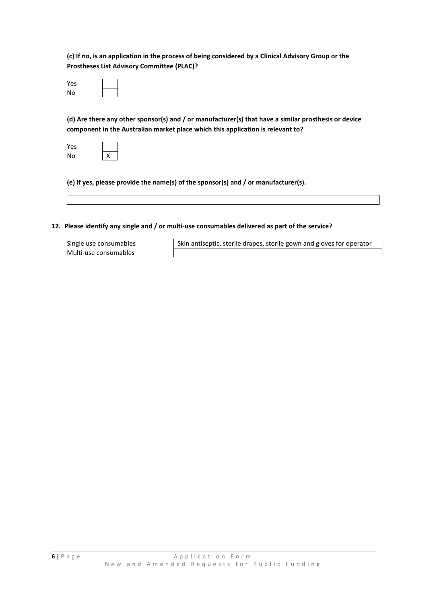**(c) If no, is an application in the process of being considered by a Clinical Advisory Group or the Prostheses List Advisory Committee (PLAC)?**

| Yes |  |  |
|-----|--|--|
| No  |  |  |

**(d) Are there any other sponsor(s) and / or manufacturer(s) that have a similar prosthesis or device component in the Australian market place which this application is relevant to?**

| Yes |   |
|-----|---|
| No  | X |

**(e) If yes, please provide the name(s) of the sponsor(s) and / or manufacturer(s).** 

## **12. Please identify any single and / or multi-use consumables delivered as part of the service?**

Multi-use consumables

Single use consumables Skin antiseptic, sterile drapes, sterile gown and gloves for operator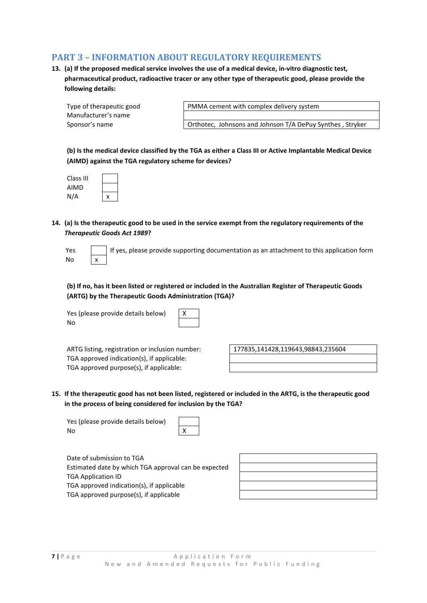# **PART 3 – INFORMATION ABOUT REGULATORY REQUIREMENTS**

**13. (a) If the proposed medical service involves the use of a medical device, in-vitro diagnostic test, pharmaceutical product, radioactive tracer or any other type of therapeutic good, please provide the following details:**

| Type of therapeutic good |
|--------------------------|
| Manufacturer's name      |
| Sponsor's name           |

PMMA cement with complex delivery system

Orthotec, Johnsons and Johnson T/A DePuy Synthes, Stryker

**(b) Is the medical device classified by the TGA as either a Class III or Active Implantable Medical Device (AIMD) against the TGA regulatory scheme for devices?**

| Class III |   |
|-----------|---|
| AIMD      |   |
| N/A       | X |

**14. (a) Is the therapeutic good to be used in the service exempt from the regulatory requirements of the**  *Therapeutic Goods Act 1989***?**

| Yes |   |
|-----|---|
| No  | x |

If yes, please provide supporting documentation as an attachment to this application form

**(b) If no, has it been listed or registered or included in the Australian Register of Therapeutic Goods (ARTG) by the Therapeutic Goods Administration (TGA)?**

Yes (please provide details below)  $\vert$  X No



ARTG listing, registration or inclusion number: 177835,141428,119643,98843,235604 TGA approved indication(s), if applicable: TGA approved purpose(s), if applicable:

**15. If the therapeutic good has not been listed, registered or included in the ARTG, is the therapeutic good in the process of being considered for inclusion by the TGA?**

Yes (please provide details below) No X

Date of submission to TGA Estimated date by which TGA approval can be expected TGA Application ID TGA approved indication(s), if applicable TGA approved purpose(s), if applicable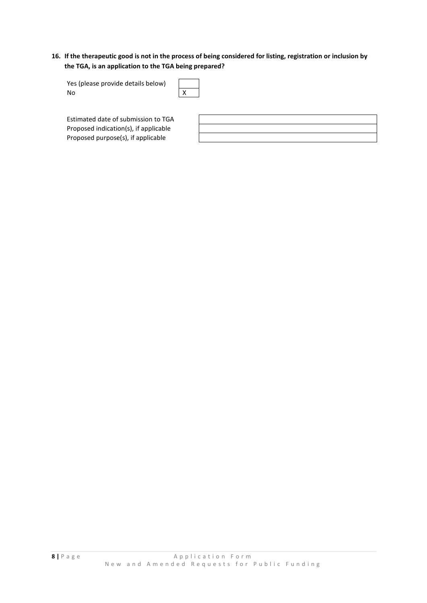# **16. If the therapeutic good is not in the process of being considered for listing, registration or inclusion by the TGA, is an application to the TGA being prepared?**

| Yes (please provide details below) |   |
|------------------------------------|---|
| No                                 | X |

Estimated date of submission to TGA Proposed indication(s), if applicable Proposed purpose(s), if applicable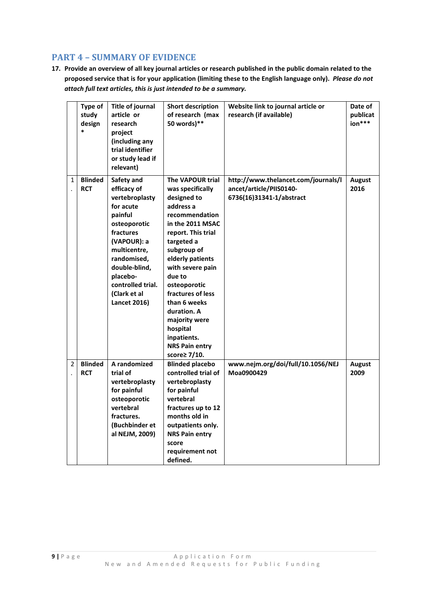# **PART 4 – SUMMARY OF EVIDENCE**

**17. Provide an overview of all key journal articles or research published in the public domain related to the proposed service that is for your application (limiting these to the English language only).** *Please do not attach full text articles, this is just intended to be a summary.*

|                | Type of<br>study<br>design<br>$\ast$ | <b>Title of journal</b><br>article or<br>research<br>project<br>(including any<br>trial identifier<br>or study lead if<br>relevant)                                                                                                     | <b>Short description</b><br>of research (max<br>50 words)**                                                                                                                                                                                                                                                                                                          | Website link to journal article or<br>research (if available)                              | Date of<br>publicat<br>ion*** |
|----------------|--------------------------------------|-----------------------------------------------------------------------------------------------------------------------------------------------------------------------------------------------------------------------------------------|----------------------------------------------------------------------------------------------------------------------------------------------------------------------------------------------------------------------------------------------------------------------------------------------------------------------------------------------------------------------|--------------------------------------------------------------------------------------------|-------------------------------|
| $\mathbf{1}$   | <b>Blinded</b><br><b>RCT</b>         | Safety and<br>efficacy of<br>vertebroplasty<br>for acute<br>painful<br>osteoporotic<br>fractures<br>(VAPOUR): a<br>multicentre,<br>randomised,<br>double-blind,<br>placebo-<br>controlled trial.<br>(Clark et al<br><b>Lancet 2016)</b> | The VAPOUR trial<br>was specifically<br>designed to<br>address a<br>recommendation<br>in the 2011 MSAC<br>report. This trial<br>targeted a<br>subgroup of<br>elderly patients<br>with severe pain<br>due to<br>osteoporotic<br>fractures of less<br>than 6 weeks<br>duration. A<br>majority were<br>hospital<br>inpatients.<br><b>NRS Pain entry</b><br>score≥ 7/10. | http://www.thelancet.com/journals/l<br>ancet/article/PIIS0140-<br>6736(16)31341-1/abstract | <b>August</b><br>2016         |
| $\overline{2}$ | <b>Blinded</b><br><b>RCT</b>         | A randomized<br>trial of<br>vertebroplasty<br>for painful<br>osteoporotic<br>vertebral<br>fractures.<br>(Buchbinder et<br>al NEJM, 2009)                                                                                                | <b>Blinded placebo</b><br>controlled trial of<br>vertebroplasty<br>for painful<br>vertebral<br>fractures up to 12<br>months old in<br>outpatients only.<br><b>NRS Pain entry</b><br>score<br>requirement not<br>defined.                                                                                                                                             | www.nejm.org/doi/full/10.1056/NEJ<br>Moa0900429                                            | <b>August</b><br>2009         |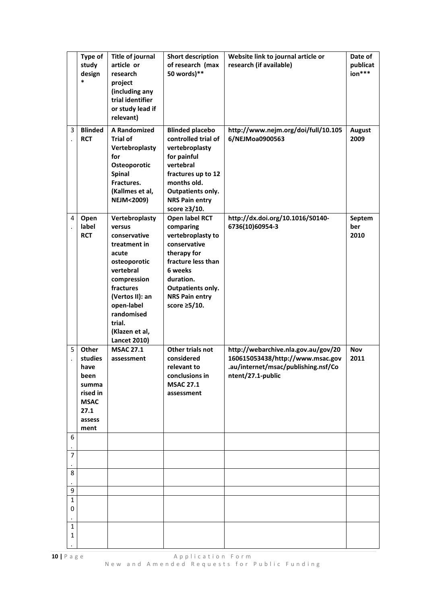|                   | Type of<br>study<br>design                                                                     | <b>Title of journal</b><br>article or<br>research<br>project<br>(including any<br>trial identifier<br>or study lead if<br>relevant)                                                                                          | <b>Short description</b><br>of research (max<br>50 words)**                                                                                                                                    | Website link to journal article or<br>research (if available)                                                                       | Date of<br>publicat<br>ion*** |
|-------------------|------------------------------------------------------------------------------------------------|------------------------------------------------------------------------------------------------------------------------------------------------------------------------------------------------------------------------------|------------------------------------------------------------------------------------------------------------------------------------------------------------------------------------------------|-------------------------------------------------------------------------------------------------------------------------------------|-------------------------------|
| 3                 | <b>Blinded</b><br><b>RCT</b>                                                                   | <b>A Randomized</b><br><b>Trial of</b><br>Vertebroplasty<br>for<br>Osteoporotic<br>Spinal<br>Fractures.<br>(Kallmes et al,<br><b>NEJM&lt;2009)</b>                                                                           | <b>Blinded placebo</b><br>controlled trial of<br>vertebroplasty<br>for painful<br>vertebral<br>fractures up to 12<br>months old.<br>Outpatients only.<br><b>NRS Pain entry</b><br>score ≥3/10. | http://www.nejm.org/doi/full/10.105<br>6/NEJMoa0900563                                                                              | <b>August</b><br>2009         |
| 4                 | Open<br>label<br><b>RCT</b>                                                                    | Vertebroplasty<br>versus<br>conservative<br>treatment in<br>acute<br>osteoporotic<br>vertebral<br>compression<br>fractures<br>(Vertos II): an<br>open-label<br>randomised<br>trial.<br>(Klazen et al,<br><b>Lancet 2010)</b> | Open label RCT<br>comparing<br>vertebroplasty to<br>conservative<br>therapy for<br>fracture less than<br>6 weeks<br>duration.<br>Outpatients only.<br><b>NRS Pain entry</b><br>score ≥5/10.    | http://dx.doi.org/10.1016/S0140-<br>6736(10)60954-3                                                                                 | Septem<br>ber<br>2010         |
| 5                 | Other<br>studies<br>have<br>been<br>summa<br>rised in<br><b>MSAC</b><br>27.1<br>assess<br>ment | <b>MSAC 27.1</b><br>assessment                                                                                                                                                                                               | Other trials not<br>considered<br>relevant to<br>conclusions in<br><b>MSAC 27.1</b><br>assessment                                                                                              | http://webarchive.nla.gov.au/gov/20<br>160615053438/http://www.msac.gov<br>.au/internet/msac/publishing.nsf/Co<br>ntent/27.1-public | <b>Nov</b><br>2011            |
| 6                 |                                                                                                |                                                                                                                                                                                                                              |                                                                                                                                                                                                |                                                                                                                                     |                               |
| 7                 |                                                                                                |                                                                                                                                                                                                                              |                                                                                                                                                                                                |                                                                                                                                     |                               |
| 8                 |                                                                                                |                                                                                                                                                                                                                              |                                                                                                                                                                                                |                                                                                                                                     |                               |
| 9                 |                                                                                                |                                                                                                                                                                                                                              |                                                                                                                                                                                                |                                                                                                                                     |                               |
| 1<br>0            |                                                                                                |                                                                                                                                                                                                                              |                                                                                                                                                                                                |                                                                                                                                     |                               |
| $\mathbf{1}$<br>1 |                                                                                                |                                                                                                                                                                                                                              |                                                                                                                                                                                                |                                                                                                                                     |                               |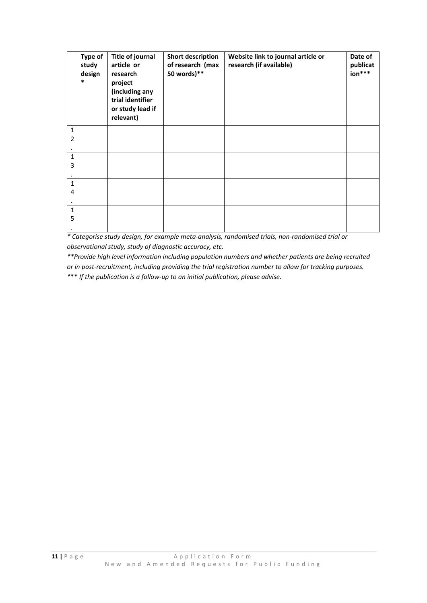|                   | Type of<br>study<br>design<br>$\ast$ | Title of journal<br>article or<br>research<br>project<br>(including any<br>trial identifier<br>or study lead if<br>relevant) | <b>Short description</b><br>of research (max<br>50 words)** | Website link to journal article or<br>research (if available) | Date of<br>publicat<br>$ion***$ |
|-------------------|--------------------------------------|------------------------------------------------------------------------------------------------------------------------------|-------------------------------------------------------------|---------------------------------------------------------------|---------------------------------|
| $\mathbf{1}$<br>2 |                                      |                                                                                                                              |                                                             |                                                               |                                 |
| 1<br>3            |                                      |                                                                                                                              |                                                             |                                                               |                                 |
| $\mathbf{1}$<br>4 |                                      |                                                                                                                              |                                                             |                                                               |                                 |
| $\mathbf{1}$<br>5 |                                      |                                                                                                                              |                                                             |                                                               |                                 |

*\* Categorise study design, for example meta-analysis, randomised trials, non-randomised trial or observational study, study of diagnostic accuracy, etc.* 

*\*\*Provide high level information including population numbers and whether patients are being recruited or in post-recruitment, including providing the trial registration number to allow for tracking purposes. \**\*\* *If the publication is a follow-up to an initial publication, please advise.*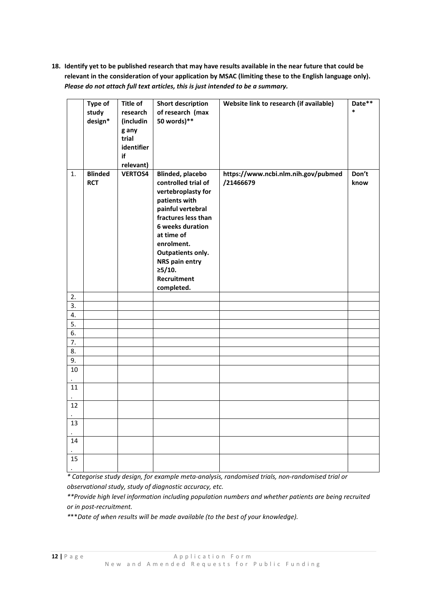**18. Identify yet to be published research that may have results available in the near future that could be relevant in the consideration of your application by MSAC (limiting these to the English language only).** *Please do not attach full text articles, this is just intended to be a summary.*

|           | Type of        | Title of       | <b>Short description</b> | Website link to research (if available) | Date** |
|-----------|----------------|----------------|--------------------------|-----------------------------------------|--------|
|           | study          | research       | of research (max         |                                         | $\ast$ |
|           | design*        | (includin      | 50 words)**              |                                         |        |
|           |                | g any          |                          |                                         |        |
|           |                | trial          |                          |                                         |        |
|           |                | identifier     |                          |                                         |        |
|           |                | if             |                          |                                         |        |
|           |                | relevant)      |                          |                                         |        |
| 1.        | <b>Blinded</b> | <b>VERTOS4</b> | <b>Blinded, placebo</b>  | https://www.ncbi.nlm.nih.gov/pubmed     | Don't  |
|           | <b>RCT</b>     |                | controlled trial of      | /21466679                               | know   |
|           |                |                | vertebroplasty for       |                                         |        |
|           |                |                | patients with            |                                         |        |
|           |                |                | painful vertebral        |                                         |        |
|           |                |                | fractures less than      |                                         |        |
|           |                |                | 6 weeks duration         |                                         |        |
|           |                |                | at time of               |                                         |        |
|           |                |                | enrolment.               |                                         |        |
|           |                |                | <b>Outpatients only.</b> |                                         |        |
|           |                |                | NRS pain entry           |                                         |        |
|           |                |                | ≥5/10.                   |                                         |        |
|           |                |                | Recruitment              |                                         |        |
|           |                |                | completed.               |                                         |        |
| 2.        |                |                |                          |                                         |        |
| 3.<br>4.  |                |                |                          |                                         |        |
| 5.        |                |                |                          |                                         |        |
| 6.        |                |                |                          |                                         |        |
| 7.        |                |                |                          |                                         |        |
| 8.        |                |                |                          |                                         |        |
| 9.        |                |                |                          |                                         |        |
| 10        |                |                |                          |                                         |        |
| 11        |                |                |                          |                                         |        |
|           |                |                |                          |                                         |        |
| 12        |                |                |                          |                                         |        |
| $\bullet$ |                |                |                          |                                         |        |
| 13        |                |                |                          |                                         |        |
| 14        |                |                |                          |                                         |        |
|           |                |                |                          |                                         |        |
| 15        |                |                |                          |                                         |        |
|           |                |                |                          |                                         |        |
|           |                |                |                          |                                         |        |

*\* Categorise study design, for example meta-analysis, randomised trials, non-randomised trial or observational study, study of diagnostic accuracy, etc.*

*\*\*Provide high level information including population numbers and whether patients are being recruited or in post-recruitment.*

*\**\*\**Date of when results will be made available (to the best of your knowledge).*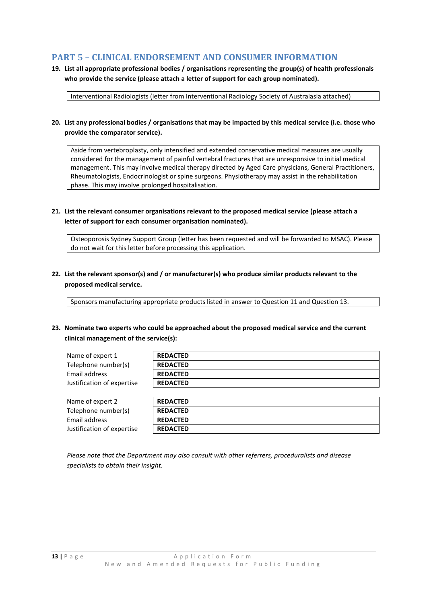# **PART 5 – CLINICAL ENDORSEMENT AND CONSUMER INFORMATION**

**19. List all appropriate professional bodies / organisations representing the group(s) of health professionals who provide the service (please attach a letter of support for each group nominated).**

Interventional Radiologists (letter from Interventional Radiology Society of Australasia attached)

## **20. List any professional bodies / organisations that may be impacted by this medical service (i.e. those who provide the comparator service).**

Aside from vertebroplasty, only intensified and extended conservative medical measures are usually considered for the management of painful vertebral fractures that are unresponsive to initial medical management. This may involve medical therapy directed by Aged Care physicians, General Practitioners, Rheumatologists, Endocrinologist or spine surgeons. Physiotherapy may assist in the rehabilitation phase. This may involve prolonged hospitalisation.

# **21. List the relevant consumer organisations relevant to the proposed medical service (please attach a letter of support for each consumer organisation nominated).**

Osteoporosis Sydney Support Group (letter has been requested and will be forwarded to MSAC). Please do not wait for this letter before processing this application.

**22. List the relevant sponsor(s) and / or manufacturer(s) who produce similar products relevant to the proposed medical service.**

Sponsors manufacturing appropriate products listed in answer to Question 11 and Question 13.

**23. Nominate two experts who could be approached about the proposed medical service and the current clinical management of the service(s):**

| Name of expert 1           | <b>REDACTED</b> |
|----------------------------|-----------------|
| Telephone number(s)        | <b>REDACTED</b> |
| Email address              | <b>REDACTED</b> |
| Justification of expertise | <b>REDACTED</b> |
|                            |                 |

| Name of expert 2           | <b>REDACTED</b> |
|----------------------------|-----------------|
| Telephone number(s)        | <b>REDACTED</b> |
| Email address              | <b>REDACTED</b> |
| Justification of expertise | <b>REDACTED</b> |

*Please note that the Department may also consult with other referrers, proceduralists and disease specialists to obtain their insight.*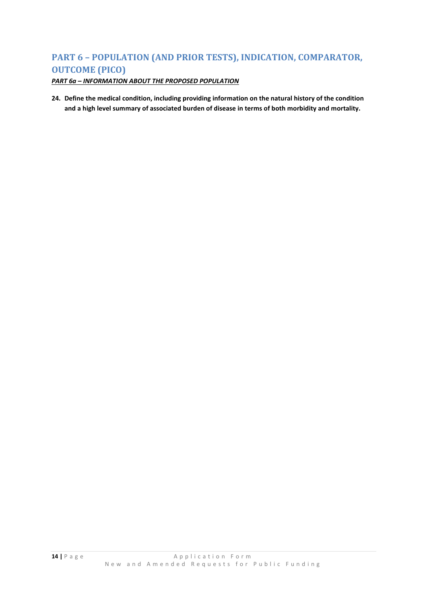# **PART 6 – POPULATION (AND PRIOR TESTS), INDICATION, COMPARATOR, OUTCOME (PICO)**

*PART 6a – INFORMATION ABOUT THE PROPOSED POPULATION*

**24. Define the medical condition, including providing information on the natural history of the condition and a high level summary of associated burden of disease in terms of both morbidity and mortality.**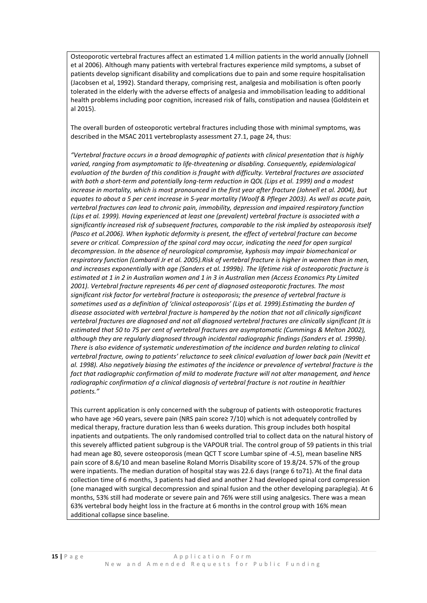Osteoporotic vertebral fractures affect an estimated 1.4 million patients in the world annually (Johnell et al 2006). Although many patients with vertebral fractures experience mild symptoms, a subset of patients develop significant disability and complications due to pain and some require hospitalisation (Jacobsen et al, 1992). Standard therapy, comprising rest, analgesia and mobilisation is often poorly tolerated in the elderly with the adverse effects of analgesia and immobilisation leading to additional health problems including poor cognition, increased risk of falls, constipation and nausea (Goldstein et al 2015).

The overall burden of osteoporotic vertebral fractures including those with minimal symptoms, was described in the MSAC 2011 vertebroplasty assessment 27.1, page 24, thus:

*"Vertebral fracture occurs in a broad demographic of patients with clinical presentation that is highly*  varied, ranging from asymptomatic to life-threatening or disabling. Consequently, epidemiological *evaluation of the burden of this condition is fraught with difficulty. Vertebral fractures are associated with both a short-term and potentially long-term reduction in QOL (Lips et al. 1999) and a modest increase in mortality, which is most pronounced in the first year after fracture (Johnell et al. 2004), but equates to about a 5 per cent increase in 5-year mortality (Woolf & Pfleger 2003). As well as acute pain, vertebral fractures can lead to chronic pain, immobility, depression and impaired respiratory function (Lips et al. 1999). Having experienced at least one (prevalent) vertebral fracture is associated with a significantly increased risk of subsequent fractures, comparable to the risk implied by osteoporosis itself (Pasco et al.2006). When kyphotic deformity is present, the effect of vertebral fracture can become severe or critical. Compression of the spinal cord may occur, indicating the need for open surgical decompression. In the absence of neurological compromise, kyphosis may impair biomechanical or respiratory function (Lombardi Jr et al. 2005).Risk of vertebral fracture is higher in women than in men, and increases exponentially with age (Sanders et al. 1999b). The lifetime risk of osteoporotic fracture is estimated at 1 in 2 in Australian women and 1 in 3 in Australian men (Access Economics Pty Limited 2001). Vertebral fracture represents 46 per cent of diagnosed osteoporotic fractures. The most significant risk factor for vertebral fracture is osteoporosis; the presence of vertebral fracture is sometimes used as a definition of 'clinical osteoporosis' (Lips et al. 1999).Estimating the burden of disease associated with vertebral fracture is hampered by the notion that not all clinically significant vertebral fractures are diagnosed and not all diagnosed vertebral fractures are clinically significant (It is estimated that 50 to 75 per cent of vertebral fractures are asymptomatic (Cummings & Melton 2002), although they are regularly diagnosed through incidental radiographic findings (Sanders et al. 1999b). There is also evidence of systematic underestimation of the incidence and burden relating to clinical vertebral fracture, owing to patients' reluctance to seek clinical evaluation of lower back pain (Nevitt et al. 1998). Also negatively biasing the estimates of the incidence or prevalence of vertebral fracture is the fact that radiographic confirmation of mild to moderate fracture will not alter management, and hence radiographic confirmation of a clinical diagnosis of vertebral fracture is not routine in healthier patients."*

This current application is only concerned with the subgroup of patients with osteoporotic fractures who have age >60 years, severe pain (NRS pain score≥ 7/10) which is not adequately controlled by medical therapy, fracture duration less than 6 weeks duration. This group includes both hospital inpatients and outpatients. The only randomised controlled trial to collect data on the natural history of this severely afflicted patient subgroup is the VAPOUR trial. The control group of 59 patients in this trial had mean age 80, severe osteoporosis (mean QCT T score Lumbar spine of -4.5), mean baseline NRS pain score of 8.6/10 and mean baseline Roland Morris Disability score of 19.8/24. 57% of the group were inpatients. The median duration of hospital stay was 22.6 days (range 6 to71). At the final data collection time of 6 months, 3 patients had died and another 2 had developed spinal cord compression (one managed with surgical decompression and spinal fusion and the other developing paraplegia). At 6 months, 53% still had moderate or severe pain and 76% were still using analgesics. There was a mean 63% vertebral body height loss in the fracture at 6 months in the control group with 16% mean additional collapse since baseline.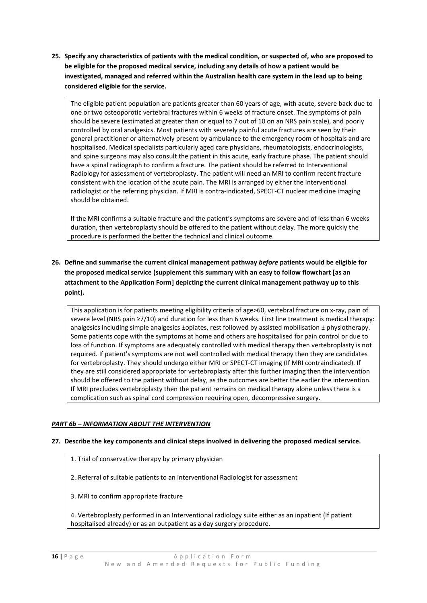**25. Specify any characteristics of patients with the medical condition, or suspected of, who are proposed to be eligible for the proposed medical service, including any details of how a patient would be investigated, managed and referred within the Australian health care system in the lead up to being considered eligible for the service.**

The eligible patient population are patients greater than 60 years of age, with acute, severe back due to one or two osteoporotic vertebral fractures within 6 weeks of fracture onset. The symptoms of pain should be severe (estimated at greater than or equal to 7 out of 10 on an NRS pain scale), and poorly controlled by oral analgesics. Most patients with severely painful acute fractures are seen by their general practitioner or alternatively present by ambulance to the emergency room of hospitals and are hospitalised. Medical specialists particularly aged care physicians, rheumatologists, endocrinologists, and spine surgeons may also consult the patient in this acute, early fracture phase. The patient should have a spinal radiograph to confirm a fracture. The patient should be referred to Interventional Radiology for assessment of vertebroplasty. The patient will need an MRI to confirm recent fracture consistent with the location of the acute pain. The MRI is arranged by either the Interventional radiologist or the referring physician. If MRI is contra-indicated, SPECT-CT nuclear medicine imaging should be obtained.

If the MRI confirms a suitable fracture and the patient's symptoms are severe and of less than 6 weeks duration, then vertebroplasty should be offered to the patient without delay. The more quickly the procedure is performed the better the technical and clinical outcome.

**26. Define and summarise the current clinical management pathway** *before* **patients would be eligible for the proposed medical service (supplement this summary with an easy to follow flowchart [as an attachment to the Application Form] depicting the current clinical management pathway up to this point).**

This application is for patients meeting eligibility criteria of age>60, vertebral fracture on x-ray, pain of severe level (NRS pain ≥7/10) and duration for less than 6 weeks. First line treatment is medical therapy: analgesics including simple analgesics ±opiates, rest followed by assisted mobilisation ± physiotherapy. Some patients cope with the symptoms at home and others are hospitalised for pain control or due to loss of function. If symptoms are adequately controlled with medical therapy then vertebroplasty is not required. If patient's symptoms are not well controlled with medical therapy then they are candidates for vertebroplasty. They should undergo either MRI or SPECT-CT imaging (If MRI contraindicated). If they are still considered appropriate for vertebroplasty after this further imaging then the intervention should be offered to the patient without delay, as the outcomes are better the earlier the intervention. If MRI precludes vertebroplasty then the patient remains on medical therapy alone unless there is a complication such as spinal cord compression requiring open, decompressive surgery.

## *PART 6b – INFORMATION ABOUT THE INTERVENTION*

## **27. Describe the key components and clinical steps involved in delivering the proposed medical service.**

1. Trial of conservative therapy by primary physician

2..Referral of suitable patients to an interventional Radiologist for assessment

3. MRI to confirm appropriate fracture

4. Vertebroplasty performed in an Interventional radiology suite either as an inpatient (If patient hospitalised already) or as an outpatient as a day surgery procedure.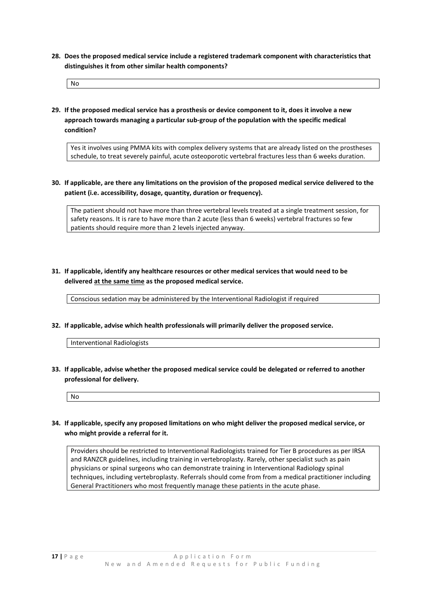**28. Does the proposed medical service include a registered trademark component with characteristics that distinguishes it from other similar health components?**

No

**29. If the proposed medical service has a prosthesis or device component to it, does it involve a new approach towards managing a particular sub-group of the population with the specific medical condition?**

Yes it involves using PMMA kits with complex delivery systems that are already listed on the prostheses schedule, to treat severely painful, acute osteoporotic vertebral fractures less than 6 weeks duration.

**30. If applicable, are there any limitations on the provision of the proposed medical service delivered to the patient (i.e. accessibility, dosage, quantity, duration or frequency).**

The patient should not have more than three vertebral levels treated at a single treatment session, for safety reasons. It is rare to have more than 2 acute (less than 6 weeks) vertebral fractures so few patients should require more than 2 levels injected anyway.

**31. If applicable, identify any healthcare resources or other medical services that would need to be delivered at the same time as the proposed medical service.**

Conscious sedation may be administered by the Interventional Radiologist if required

**32. If applicable, advise which health professionals will primarily deliver the proposed service.**

Interventional Radiologists

**33. If applicable, advise whether the proposed medical service could be delegated or referred to another professional for delivery.**

No

**34. If applicable, specify any proposed limitations on who might deliver the proposed medical service, or who might provide a referral for it.**

Providers should be restricted to Interventional Radiologists trained for Tier B procedures as per IRSA and RANZCR guidelines, including training in vertebroplasty. Rarely, other specialist such as pain physicians or spinal surgeons who can demonstrate training in Interventional Radiology spinal techniques, including vertebroplasty. Referrals should come from from a medical practitioner including General Practitioners who most frequently manage these patients in the acute phase.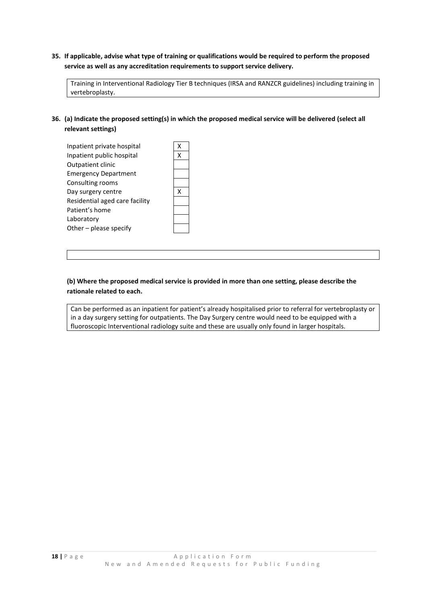# **35. If applicable, advise what type of training or qualifications would be required to perform the proposed service as well as any accreditation requirements to support service delivery.**

Training in Interventional Radiology Tier B techniques (IRSA and RANZCR guidelines) including training in vertebroplasty.

# **36. (a) Indicate the proposed setting(s) in which the proposed medical service will be delivered (select all relevant settings)**

| Inpatient private hospital     |  |
|--------------------------------|--|
| Inpatient public hospital      |  |
| Outpatient clinic              |  |
| <b>Emergency Department</b>    |  |
| Consulting rooms               |  |
| Day surgery centre             |  |
| Residential aged care facility |  |
| Patient's home                 |  |
| Laboratory                     |  |
| Other - please specify         |  |
|                                |  |

# **(b) Where the proposed medical service is provided in more than one setting, please describe the rationale related to each.**

Can be performed as an inpatient for patient's already hospitalised prior to referral for vertebroplasty or in a day surgery setting for outpatients. The Day Surgery centre would need to be equipped with a fluoroscopic Interventional radiology suite and these are usually only found in larger hospitals.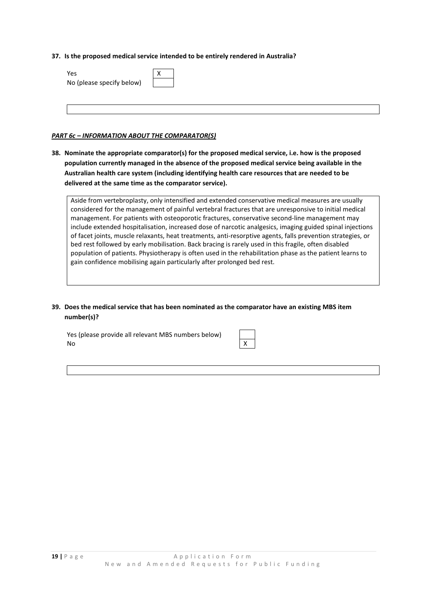#### **37. Is the proposed medical service intended to be entirely rendered in Australia?**

| Yes                       |  |  |  |
|---------------------------|--|--|--|
| No (please specify below) |  |  |  |
|                           |  |  |  |
|                           |  |  |  |
|                           |  |  |  |

## *PART 6c – INFORMATION ABOUT THE COMPARATOR(S)*

**38. Nominate the appropriate comparator(s) for the proposed medical service, i.e. how is the proposed population currently managed in the absence of the proposed medical service being available in the Australian health care system (including identifying health care resources that are needed to be delivered at the same time as the comparator service).**

Aside from vertebroplasty, only intensified and extended conservative medical measures are usually considered for the management of painful vertebral fractures that are unresponsive to initial medical management. For patients with osteoporotic fractures, conservative second-line management may include extended hospitalisation, increased dose of narcotic analgesics, imaging guided spinal injections of facet joints, muscle relaxants, heat treatments, anti-resorptive agents, falls prevention strategies, or bed rest followed by early mobilisation. Back bracing is rarely used in this fragile, often disabled population of patients. Physiotherapy is often used in the rehabilitation phase as the patient learns to gain confidence mobilising again particularly after prolonged bed rest.

**39. Does the medical service that has been nominated as the comparator have an existing MBS item number(s)?**

Yes (please provide all relevant MBS numbers below) No X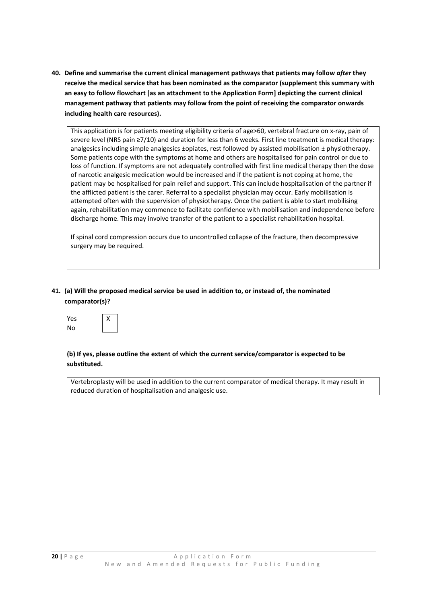**40. Define and summarise the current clinical management pathways that patients may follow** *after* **they receive the medical service that has been nominated as the comparator (supplement this summary with an easy to follow flowchart [as an attachment to the Application Form] depicting the current clinical management pathway that patients may follow from the point of receiving the comparator onwards including health care resources).**

This application is for patients meeting eligibility criteria of age>60, vertebral fracture on x-ray, pain of severe level (NRS pain ≥7/10) and duration for less than 6 weeks. First line treatment is medical therapy: analgesics including simple analgesics ±opiates, rest followed by assisted mobilisation ± physiotherapy. Some patients cope with the symptoms at home and others are hospitalised for pain control or due to loss of function. If symptoms are not adequately controlled with first line medical therapy then the dose of narcotic analgesic medication would be increased and if the patient is not coping at home, the patient may be hospitalised for pain relief and support. This can include hospitalisation of the partner if the afflicted patient is the carer. Referral to a specialist physician may occur. Early mobilisation is attempted often with the supervision of physiotherapy. Once the patient is able to start mobilising again, rehabilitation may commence to facilitate confidence with mobilisation and independence before discharge home. This may involve transfer of the patient to a specialist rehabilitation hospital.

If spinal cord compression occurs due to uncontrolled collapse of the fracture, then decompressive surgery may be required.

# **41. (a) Will the proposed medical service be used in addition to, or instead of, the nominated comparator(s)?**

| Yes | x |
|-----|---|
| No  |   |

# **(b) If yes, please outline the extent of which the current service/comparator is expected to be substituted.**

Vertebroplasty will be used in addition to the current comparator of medical therapy. It may result in reduced duration of hospitalisation and analgesic use.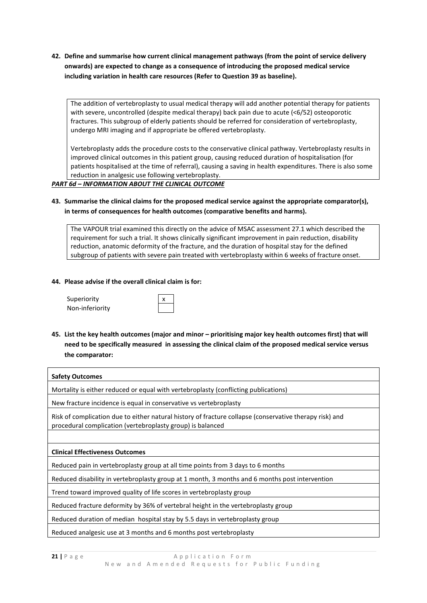**42. Define and summarise how current clinical management pathways (from the point of service delivery onwards) are expected to change as a consequence of introducing the proposed medical service including variation in health care resources (Refer to Question 39 as baseline).**

The addition of vertebroplasty to usual medical therapy will add another potential therapy for patients with severe, uncontrolled (despite medical therapy) back pain due to acute (<6/52) osteoporotic fractures. This subgroup of elderly patients should be referred for consideration of vertebroplasty, undergo MRI imaging and if appropriate be offered vertebroplasty.

Vertebroplasty adds the procedure costs to the conservative clinical pathway. Vertebroplasty results in improved clinical outcomes in this patient group, causing reduced duration of hospitalisation (for patients hospitalised at the time of referral), causing a saving in health expenditures. There is also some reduction in analgesic use following vertebroplasty.

## *PART 6d – INFORMATION ABOUT THE CLINICAL OUTCOME*

# **43. Summarise the clinical claims for the proposed medical service against the appropriate comparator(s), in terms of consequences for health outcomes (comparative benefits and harms).**

The VAPOUR trial examined this directly on the advice of MSAC assessment 27.1 which described the requirement for such a trial. It shows clinically significant improvement in pain reduction, disability reduction, anatomic deformity of the fracture, and the duration of hospital stay for the defined subgroup of patients with severe pain treated with vertebroplasty within 6 weeks of fracture onset.

#### **44. Please advise if the overall clinical claim is for:**

Superiority Non-inferiority

**45. List the key health outcomes (major and minor – prioritising major key health outcomes first) that will need to be specifically measured in assessing the clinical claim of the proposed medical service versus the comparator:**

| <b>Safety Outcomes</b>                                                                                                                                                |
|-----------------------------------------------------------------------------------------------------------------------------------------------------------------------|
| Mortality is either reduced or equal with vertebroplasty (conflicting publications)                                                                                   |
| New fracture incidence is equal in conservative vs vertebroplasty                                                                                                     |
| Risk of complication due to either natural history of fracture collapse (conservative therapy risk) and<br>procedural complication (vertebroplasty group) is balanced |
|                                                                                                                                                                       |
| <b>Clinical Effectiveness Outcomes</b>                                                                                                                                |
| Reduced pain in vertebroplasty group at all time points from 3 days to 6 months                                                                                       |
| Reduced disability in vertebroplasty group at 1 month, 3 months and 6 months post intervention                                                                        |
| Trend toward improved quality of life scores in vertebroplasty group                                                                                                  |
| Reduced fracture deformity by 36% of vertebral height in the vertebroplasty group                                                                                     |
| Reduced duration of median hospital stay by 5.5 days in vertebroplasty group                                                                                          |
|                                                                                                                                                                       |

Reduced analgesic use at 3 months and 6 months post vertebroplasty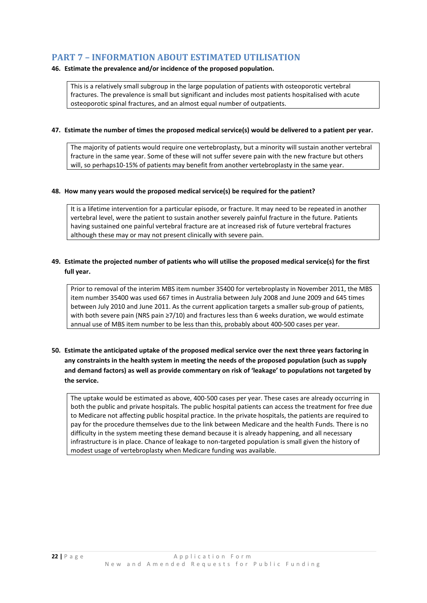# **PART 7 – INFORMATION ABOUT ESTIMATED UTILISATION**

## **46. Estimate the prevalence and/or incidence of the proposed population.**

This is a relatively small subgroup in the large population of patients with osteoporotic vertebral fractures. The prevalence is small but significant and includes most patients hospitalised with acute osteoporotic spinal fractures, and an almost equal number of outpatients.

#### **47. Estimate the number of times the proposed medical service(s) would be delivered to a patient per year.**

The majority of patients would require one vertebroplasty, but a minority will sustain another vertebral fracture in the same year. Some of these will not suffer severe pain with the new fracture but others will, so perhaps10-15% of patients may benefit from another vertebroplasty in the same year.

#### **48. How many years would the proposed medical service(s) be required for the patient?**

It is a lifetime intervention for a particular episode, or fracture. It may need to be repeated in another vertebral level, were the patient to sustain another severely painful fracture in the future. Patients having sustained one painful vertebral fracture are at increased risk of future vertebral fractures although these may or may not present clinically with severe pain.

# **49. Estimate the projected number of patients who will utilise the proposed medical service(s) for the first full year.**

Prior to removal of the interim MBS item number 35400 for vertebroplasty in November 2011, the MBS item number 35400 was used 667 times in Australia between July 2008 and June 2009 and 645 times between July 2010 and June 2011. As the current application targets a smaller sub-group of patients, with both severe pain (NRS pain ≥7/10) and fractures less than 6 weeks duration, we would estimate annual use of MBS item number to be less than this, probably about 400-500 cases per year.

# **50. Estimate the anticipated uptake of the proposed medical service over the next three years factoring in any constraints in the health system in meeting the needs of the proposed population (such as supply and demand factors) as well as provide commentary on risk of 'leakage' to populations not targeted by the service.**

The uptake would be estimated as above, 400-500 cases per year. These cases are already occurring in both the public and private hospitals. The public hospital patients can access the treatment for free due to Medicare not affecting public hospital practice. In the private hospitals, the patients are required to pay for the procedure themselves due to the link between Medicare and the health Funds. There is no difficulty in the system meeting these demand because it is already happening, and all necessary infrastructure is in place. Chance of leakage to non-targeted population is small given the history of modest usage of vertebroplasty when Medicare funding was available.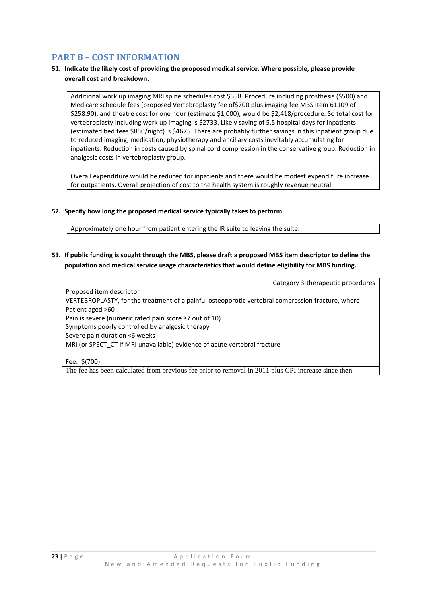# **PART 8 – COST INFORMATION**

# **51. Indicate the likely cost of providing the proposed medical service. Where possible, please provide overall cost and breakdown.**

Additional work up imaging MRI spine schedules cost \$358. Procedure including prosthesis (\$500) and Medicare schedule fees (proposed Vertebroplasty fee of\$700 plus imaging fee MBS item 61109 of \$258.90), and theatre cost for one hour (estimate \$1,000), would be \$2,418/procedure. So total cost for vertebroplasty including work up imaging is \$2733. Likely saving of 5.5 hospital days for inpatients (estimated bed fees \$850/night) is \$4675. There are probably further savings in this inpatient group due to reduced imaging, medication, physiotherapy and ancillary costs inevitably accumulating for inpatients. Reduction in costs caused by spinal cord compression in the conservative group. Reduction in analgesic costs in vertebroplasty group.

Overall expenditure would be reduced for inpatients and there would be modest expenditure increase for outpatients. Overall projection of cost to the health system is roughly revenue neutral.

## **52. Specify how long the proposed medical service typically takes to perform.**

Approximately one hour from patient entering the IR suite to leaving the suite.

**53. If public funding is sought through the MBS, please draft a proposed MBS item descriptor to define the population and medical service usage characteristics that would define eligibility for MBS funding.**

Category 3-therapeutic procedures Proposed item descriptor VERTEBROPLASTY, for the treatment of a painful osteoporotic vertebral compression fracture, where Patient aged >60 Pain is severe (numeric rated pain score ≥7 out of 10) Symptoms poorly controlled by analgesic therapy Severe pain duration <6 weeks MRI (or SPECT\_CT if MRI unavailable) evidence of acute vertebral fracture Fee: \$(700)

The fee has been calculated from previous fee prior to removal in 2011 plus CPI increase since then.